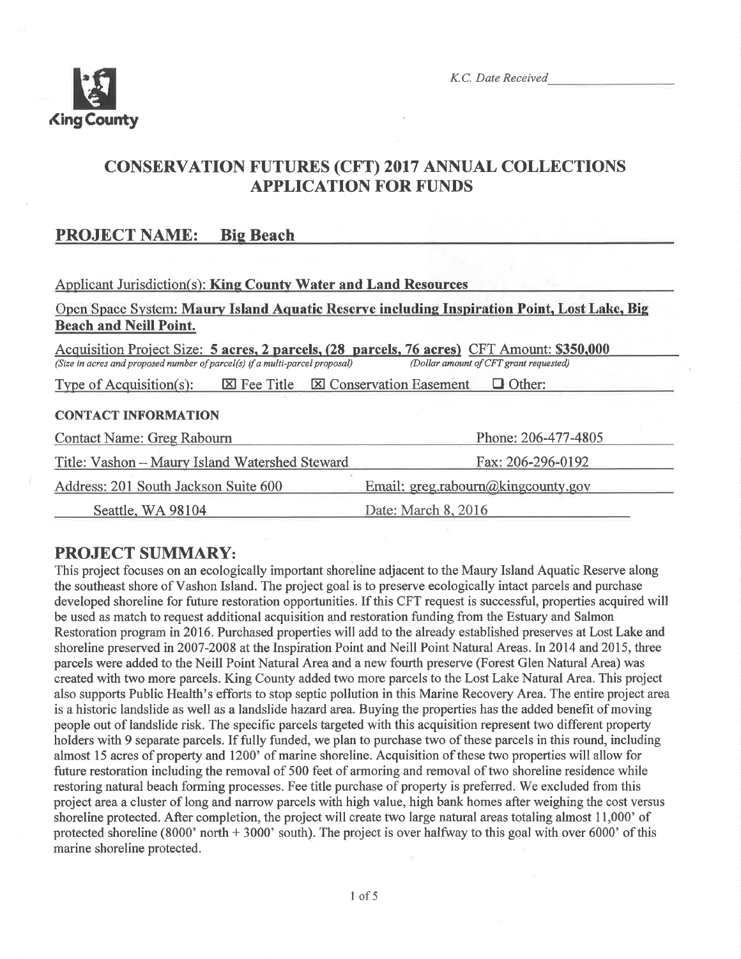

# CONSERVATTON FUTURES (CFT) 2017 ANNUAL COLLECTIONS APPLICATION FOR FUNDS

# PROJECT NAME: Bie Beach

| <b>Applicant Jurisdiction(s): King County Water and Land Resources</b>                                                                                                                                              |                     |  |  |  |  |
|---------------------------------------------------------------------------------------------------------------------------------------------------------------------------------------------------------------------|---------------------|--|--|--|--|
| Open Space System: Maury Island Aquatic Reserve including Inspiration Point, Lost Lake, Big<br><b>Beach and Neill Point.</b>                                                                                        |                     |  |  |  |  |
| Acquisition Project Size: 5 acres, 2 parcels, (28 parcels, 76 acres) CFT Amount: \$350,000<br>(Size in acres and proposed number of parcel(s) if a multi-parcel proposal)<br>(Dollar amount of CFT grant requested) |                     |  |  |  |  |
| $\boxtimes$ Fee Title $\boxtimes$ Conservation Easement<br>$\Box$ Other:<br>Type of Acquisition(s):                                                                                                                 |                     |  |  |  |  |
| <b>CONTACT INFORMATION</b>                                                                                                                                                                                          |                     |  |  |  |  |
| Phone: 206-477-4805<br>Contact Name: Greg Rabourn                                                                                                                                                                   |                     |  |  |  |  |
| Title: Vashon – Maury Island Watershed Steward                                                                                                                                                                      | Fax: 206-296-0192   |  |  |  |  |
| Address: 201 South Jackson Suite 600<br>Email: greg.rabourn@kingcounty.gov                                                                                                                                          |                     |  |  |  |  |
| Seattle, WA 98104                                                                                                                                                                                                   | Date: March 8, 2016 |  |  |  |  |

# PROJECT SUMMARY:

This project focuses on an ecologically important shoreline adjacent to the Maury Island Aquatic Reserve along the southeast shore of Vashon Island. The project goal is to preserve ecologically intact parcels and purchase developed shoreline for future restoration opportunities. If this CFT request is successful, properties acquired will be used as match to request additional acquisition and restoration funding from the Estuary and Salmon Restoration program in20l6. Purchased properties will add to the already established preserves at Lost Lake and shoreline preserved in 2007-2008 at the Inspiration Point and Neill Point Natural Areas. In 2014 and 2015, three parcels were added to the Neill Point Natural Area and a new fourth preserve (Forest Glen Natural Area) was created with two more parcels. King County added two more parcels to the Lost Lake Natural Area. This project also supports Public Health's efforts to stop septic pollution in this Marine Recovery Area. The entire project area is a historic landslide as well as a landslide hazard area. Buying the properties has the added benefit of moving people out of landslide risk. The specifrc parcels targeted with this acquisition represent two different property holders with 9 separate parcels. If fully funded, we plan to purchase two of these parcels in this round, including almost 15 acres of property and 1200' of marine shoreline. Acquisition of these two properties will allow for future restoration including the removal of 500 feet of armoring and removal of two shoreline residence while restoring natural beach forming processes. Fee title purchase of property is preferred. We excluded from this project area a cluster of long and narrow parcels with high value, high bank homes after weighing the cost versus shoreline protected. After completion, the project will create two large natural areas totaling almost 11,000' of protected shoreline (8000' north + 3000' south). The project is over halfway to this goal with over 6000' of this marine shoreline protected.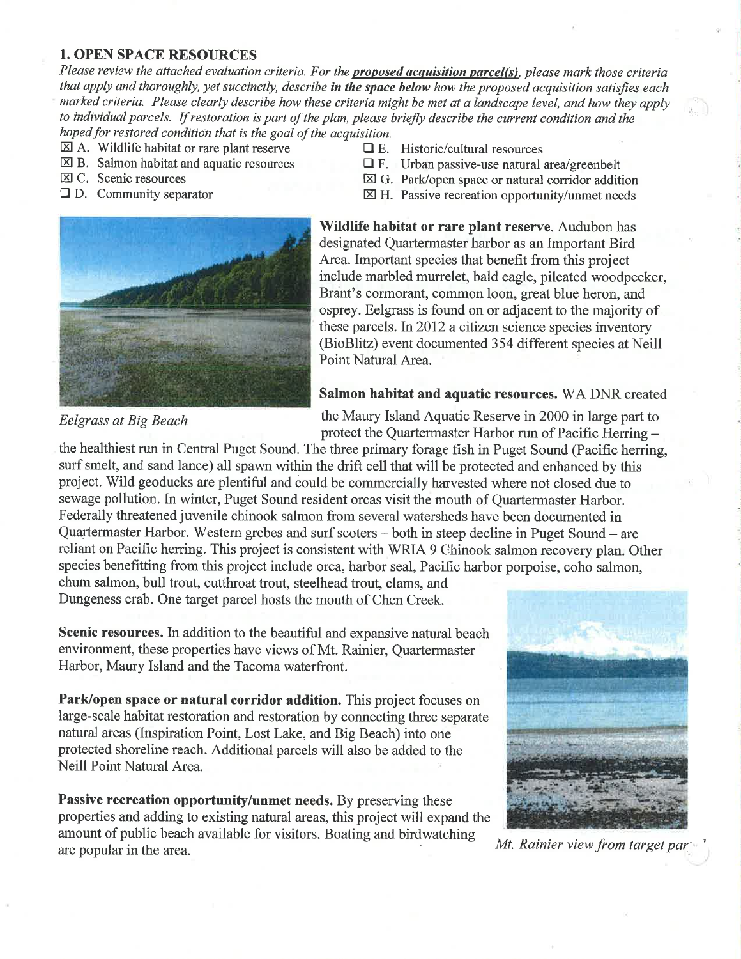#### 1. OPEN SPACE RESOURCES

Please review the attached evaluation criteria. For the **proposed acquisition parcel(s)**, please mark those criteria that apply and thoroughly, yet succinctly, describe in the space below how the proposed acquisition satisfies each marked criteria. Please clearly describe how these criteria might be met at a landscape level, and how they apply to individual parcels. If restoration is part of the plan, please briefly describe the current condition and the hoped for restored condition that is the goal of the acquisition.

- 
- $\boxtimes$  A. Wildlife habitat or rare plant reserve  $\Box$  E. Historic/cultural resources  $\Box$  E. Urban passive-use natural is
- 
- 
- 
- $\boxtimes$  B. Salmon habitat and aquatic resources  $\Box$  F. Urban passive-use natural area/greenbelt  $\boxtimes$  C. Scenic resources  $\boxtimes$  G. Park/open space or natural corridor additional
- $\boxtimes$  C. Scenic resources  $\boxtimes$  G. Park/open space or natural corridor addition  $\boxtimes$  D. Community separator  $\boxtimes$  H. Passive recreation opportunity/unmet needs
	- $\boxtimes$  H. Passive recreation opportunity/unmet needs



Wildlife habitat or rare plant reserve. Audubon has designated Quartermaster harbor as an Important Bird Area. Important species that benefit from this project include marbled murrelet, bald eagle, pileated woodpecker, Brant's cormorant, common loon, great blue heron, and osprey. Eelgrass is found on or adjacent to the majority of these parcels. In 2012 a citizen science species inventory (BioBlitz) event documented 354 different species at Neill Point Natural Area.

#### Salmon habitat and aquatic resources. WA DNR created

Eelgrass at Big Beach the Maury Island Aquatic Reserve in 2000 in large part to protect the Quartermaster Harbor run of Pacific Herring -

the healthiest run in Central Puget Sound. The three primary forage fish in Puget Sound (Pacific herring, surf smelt, and sand lance) all spawn within the drift cell that will be protected and enhanced by this project. Wild geoducks are plentiful and could be commercially harvested where not closed due to sewage pollution. In winter, Puget Sound resident orcas visit the mouth of Quartermaster Harbor. Federally threatened juvenile chinook salmon from several watersheds have been documented in Quartermaster Harbor. Western grebes and surf scoters – both in steep decline in Puget Sound – are reliant on Pacific herring. This project is consistent with WRIA 9 Ghinook salmon recovery plan. Other species benefitting from this project include orca, harbor seal, Pacific harbor porpoise, coho salmon, chum salmon, bull trout, cutthroat trout, steelhead trout, clams, and

Dungeness crab. One target parcel hosts the mouth of Chen Creek.

Scenic resources. In addition to the beautiful and expansive natural beach environment, these properties have views of Mt. Rainier, Quartermaster Harbor, Maury Island and the Tacoma waterfront.

Park/open space or natural corridor addition. This project focuses on large-scale habitat restoration and restoration by connecting three separate natural areas (Inspiration Point, Lost Lake, and Big Beach) into one protected shoreline reach. Additional parcels will also be added to the Neill Point Natural Area.

Passive recreation opportunity/unmet needs. By preserving these properties and adding to existing natural areas, this project will expand the amourt of public beach available for visitors. Boating and birdwatching are popular in the area.  $\frac{1}{2}$  are  $\frac{1}{2}$  and  $\frac{1}{2}$  are view from target par.

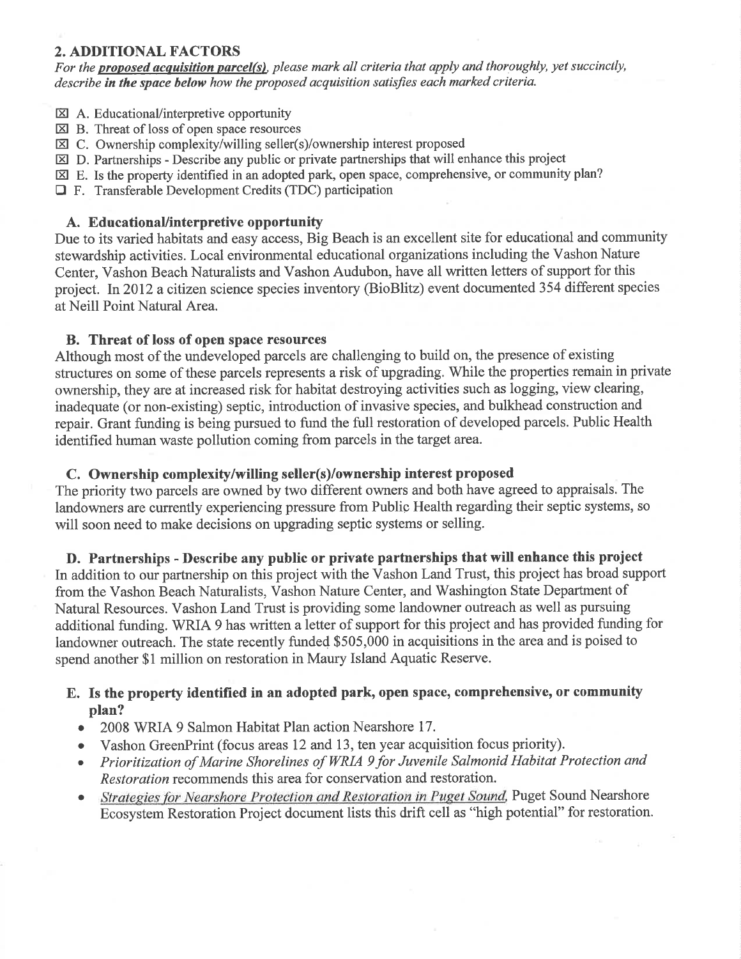## 2. ADDITIONAL FACTORS

For the **proposed acquisition parcel(s)**, please mark all criteria that apply and thoroughly, yet succinctly, describe in the space below how the proposed acquisition satisfies each marked criteria.

- $\boxtimes$  A. Educational/interpretive opportunity
- $\boxtimes$  B. Threat of loss of open space resources
- $\boxtimes$  C. Ownership complexity/willing seller(s)/ownership interest proposed
- $\boxtimes$  D. Partnerships Describe any public or private partnerships that will enhance this project
- $\boxtimes$  E. Is the property identified in an adopted park, open space, comprehensive, or community plan?
- $\Box$  F. Transferable Development Credits (TDC) participation

#### A. EducationaUinterpretive opportunity

Due to its varied habitats and easy access, Big Beach is an excellent site for educational and community stewardship activities. Local environmental educational organizations including the Vashon Nature Center, Vashon Beach Naturalists and Vashon Audubon, have all written letters of support for this project. In 2012 a citizen science species inventory (BioBlitz) event documented 354 different species at Neill Point Natural Area.

### B. Threat of loss of open space resources

Although most of the undeveloped parcels are challenging to build on, the presence of existing structures on some of these parcels represents a risk of upgrading. While the properties remain in private ownership, they are at increased risk for habitat destroying activities such as logging, view clearing, inadequate (or non-existing) septic, introduction of invasive species, and bulkhead construction and repair. Grant funding is being pursued to fund the full restoration of developed parcels. Public Health identified human waste pollution coming from parcels in the target area.

### C. Ownership complexity/willing seller(s)/ownership interest proposed

The priority two parcels are owned by two different owners and both have agreed to appraisals. The landowners are currently experiencing pressure from Public Health regarding their septic systems, so will soon need to make decisions on upgrading septic systems or selling.

D. Partnerships - Describe any public or private partnerships that will enhance this project

In addition to our partnership on this project with the Vashon Land Trust, this project has broad support from the Vashon Beach Naturalists, Vashon Nature Center, and Washington State Department of Natural Resources. Vashon Land Trust is providing some landowner outreach as well as pursuing additional funding. WRIA 9 has written a letter of support for this project and has provided funding for landowner outreach. The state recently funded \$505,000 in acquisitions in the area and is poised to spend another \$1 million on restoration in Maury Island Aquatic Reserve.

## E. Is the property identified in an adopted park, open space, comprehensive, or community plan?

- 2008 WRIA 9 Salmon Habitat Plan action Nearshore 17.
- Vashon GreenPrint (focus areas 12 and 13, ten year acquisition focus priority).
- o Prioritization of Marine Shorelines of WRIA 9 for Juvenile Salmonid Habitat Protection and Restoration recommends this area for conservation and restoration.
- Strategies for Nearshore Protection and Restoration in Puget Sound, Puget Sound Nearshore Ecosystem Restoration Project document lists this drift cell as "high potential" for restoration.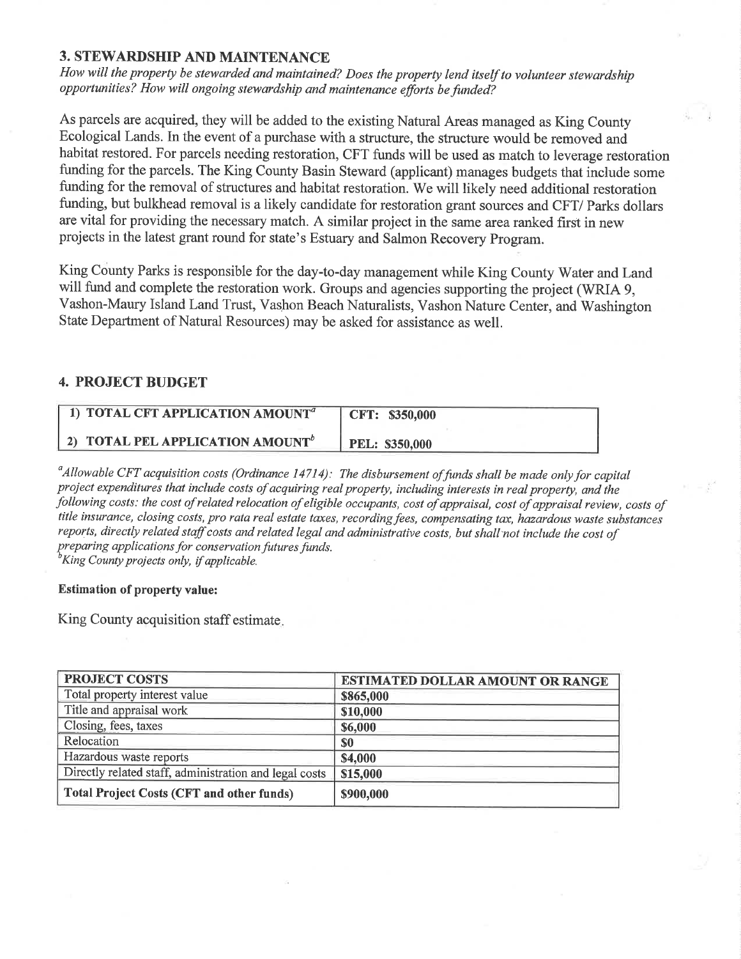#### 3. STEWARDSHIP AND MAINTENANCE

How will the property be stewarded and maintained? Does the property lend itself to volunteer stewardship opportunities? How will ongoing stewardship and maintenance efforts be funded?

As parcels are acquired, they will be added to the existing Natural Areas managed as King County Ecological Lands. In the event of a purchase with a structure, the structure would be removed and habitat restored. For parcels needing restoration, CFT funds will be used as match to leverage restoration funding for the parcels. The King County Basin Steward (applicant) manages budgets that include some funding for the removal of structures and habitat restoration. We will likely need additional restoration funding, but bulkhead removal is a likely candidate for restoration grant sources and CFT/ Parks dollars are vital for providing the necessary match. A similar project in the same area ranked first in new projects in the latest grant round for state's Estuary and Salmon Recovery Program.

King County Parks is responsible for the day-to-day management while King County Water and Land will fund and complete the restoration work. Groups and agencies supporting the project (WRIA 9, Vashon-Maury Island Land Trust, Vashon Beach Naturalists, Vashon Nature Center, and Washington State Department of Natural Resources) may be asked for assistance as well.

### 4. PROJECT BUDGET

| 1) TOTAL CFT APPLICATION AMOUNT <sup>a</sup> | CFT: \$350,000        |
|----------------------------------------------|-----------------------|
| 2) TOTAL PEL APPLICATION AMOUNT <sup>b</sup> | <b>PEL: \$350,000</b> |

 $\alpha$ Allowable CFT acquisition costs (Ordinance 14714): The disbursement of funds shall be made only for capital project expenditures that include costs of acquiring real property, including interests in real property, and the following costs: the cost of related relocation of eligible occupants, cost of appraisal, cost of appraisal review, costs of title insurance, closing costs, pro rata real estate taxes, recording fees, compensating tax, hazardous waste substances reports, directly related staff costs and related legal and administrative costs, but shall'not include the cost of preparing applications for conservation futures funds.<br> ${}^{b}$ King County projects only, if applicable.

#### Estimation of property value:

King County acquisition staff estimate.

| <b>PROJECT COSTS</b>                                   | ESTIMATED DOLLAR AMOUNT OR RANGE |
|--------------------------------------------------------|----------------------------------|
| Total property interest value                          | \$865,000                        |
| Title and appraisal work                               | \$10,000                         |
| Closing, fees, taxes                                   | \$6,000                          |
| Relocation                                             | \$0                              |
| Hazardous waste reports                                | \$4,000                          |
| Directly related staff, administration and legal costs | \$15,000                         |
| <b>Total Project Costs (CFT and other funds)</b>       | \$900,000                        |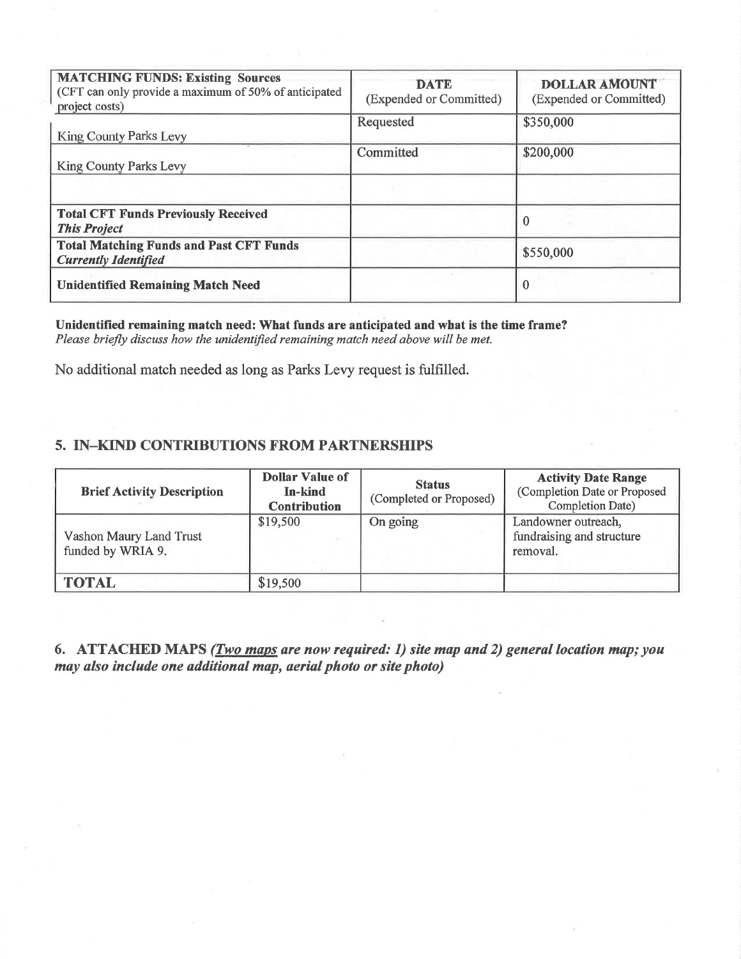| <b>MATCHING FUNDS: Existing Sources</b><br>(CFT can only provide a maximum of 50% of anticipated<br>project costs) | <b>DATE</b><br>(Expended or Committed) | <b>DOLLAR AMOUNT</b><br>(Expended or Committed) |
|--------------------------------------------------------------------------------------------------------------------|----------------------------------------|-------------------------------------------------|
| King County Parks Levy                                                                                             | Requested                              | \$350,000                                       |
| <b>King County Parks Levy</b>                                                                                      | Committed                              | \$200,000                                       |
|                                                                                                                    |                                        |                                                 |
| <b>Total CFT Funds Previously Received</b><br><b>This Project</b>                                                  |                                        |                                                 |
| <b>Total Matching Funds and Past CFT Funds</b><br><b>Currently Identified</b>                                      |                                        | \$550,000                                       |
| <b>Unidentified Remaining Match Need</b>                                                                           |                                        | $\Omega$                                        |

Unidentified remaining match need: What funds are anticipated and what is the time frame? Please briefly discuss how the unidentified remaining match need above will be met.

No additional match needed as long as Parks Levy request is fulfilled.

#### 5. IN-KIND CONTRIBUTIONS FROM PARTNERSHIPS

| <b>Brief Activity Description</b>            | <b>Dollar Value of</b><br>In-kind<br><b>Contribution</b> | <b>Status</b><br>(Completed or Proposed) | <b>Activity Date Range</b><br>(Completion Date or Proposed<br><b>Completion Date)</b> |
|----------------------------------------------|----------------------------------------------------------|------------------------------------------|---------------------------------------------------------------------------------------|
| Vashon Maury Land Trust<br>funded by WRIA 9. | \$19,500                                                 | On going                                 | Landowner outreach,<br>fundraising and structure<br>removal.                          |
| <b>TOTAL</b>                                 | \$19,500                                                 |                                          |                                                                                       |

6. ATTACHED MAPS (*Two maps are now required: 1) site map and 2) general location map; you* may also include one additional map, aerial photo or site photo)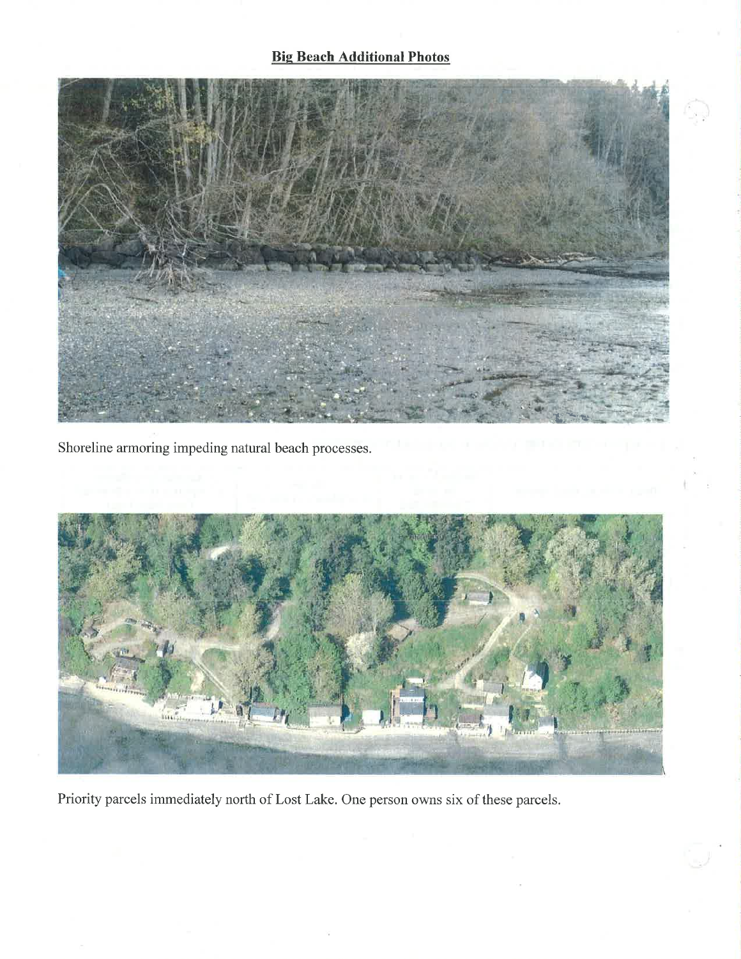## **Big Beach Additional Photos**



Shoreline armoring impeding natural beach processes.



Priority parcels immediately north of Lost Lake. One person owns six of these parcels.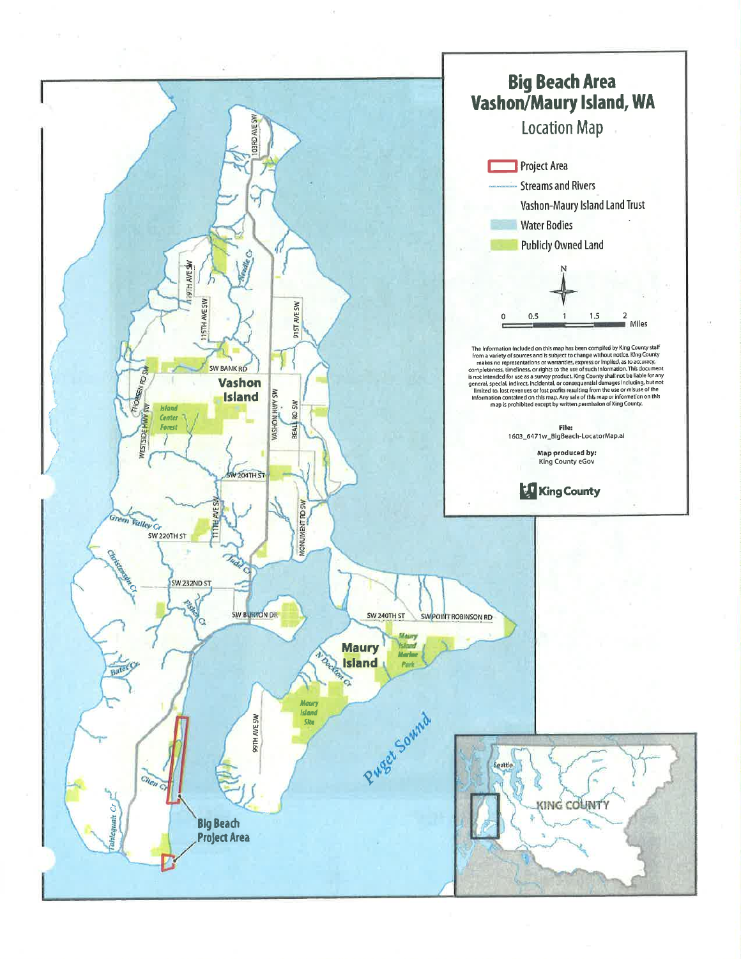